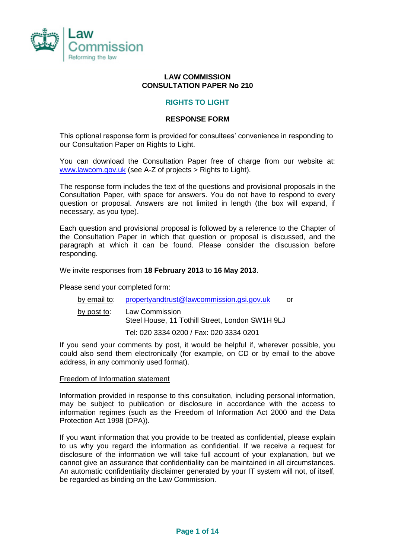

# **LAW COMMISSION CONSULTATION PAPER No 210**

# **RIGHTS TO LIGHT**

### **RESPONSE FORM**

This optional response form is provided for consultees' convenience in responding to our Consultation Paper on Rights to Light.

You can download the Consultation Paper free of charge from our website at: [www.lawcom.gov.uk](http://www.lawcom.gov.uk/) (see A-Z of projects > Rights to Light).

The response form includes the text of the questions and provisional proposals in the Consultation Paper, with space for answers. You do not have to respond to every question or proposal. Answers are not limited in length (the box will expand, if necessary, as you type).

Each question and provisional proposal is followed by a reference to the Chapter of the Consultation Paper in which that question or proposal is discussed, and the paragraph at which it can be found. Please consider the discussion before responding.

We invite responses from **18 February 2013** to **16 May 2013**.

Please send your completed form:

| by email to: | propertyandtrust@lawcommission.gsi.gov.uk | or |
|--------------|-------------------------------------------|----|
|              |                                           |    |

by post to: Law Commission Steel House, 11 Tothill Street, London SW1H 9LJ

Tel: 020 3334 0200 / Fax: 020 3334 0201

If you send your comments by post, it would be helpful if, wherever possible, you could also send them electronically (for example, on CD or by email to the above address, in any commonly used format).

#### Freedom of Information statement

Information provided in response to this consultation, including personal information, may be subject to publication or disclosure in accordance with the access to information regimes (such as the Freedom of Information Act 2000 and the Data Protection Act 1998 (DPA)).

If you want information that you provide to be treated as confidential, please explain to us why you regard the information as confidential. If we receive a request for disclosure of the information we will take full account of your explanation, but we cannot give an assurance that confidentiality can be maintained in all circumstances. An automatic confidentiality disclaimer generated by your IT system will not, of itself, be regarded as binding on the Law Commission.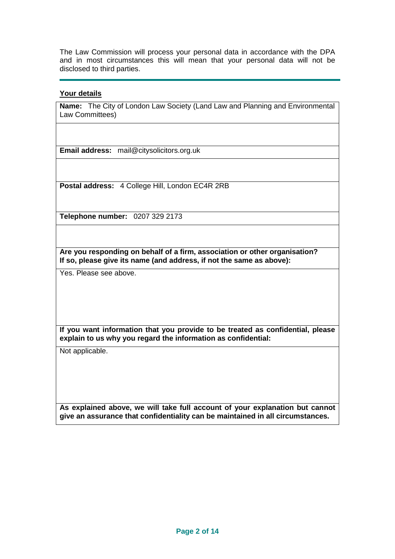The Law Commission will process your personal data in accordance with the DPA and in most circumstances this will mean that your personal data will not be disclosed to third parties.

### **Your details**

**Name:** The City of London Law Society (Land Law and Planning and Environmental Law Committees)

**Email address:** mail@citysolicitors.org.uk

**Postal address:** 4 College Hill, London EC4R 2RB

**Telephone number:** 0207 329 2173

**Are you responding on behalf of a firm, association or other organisation? If so, please give its name (and address, if not the same as above):**

Yes. Please see above.

**If you want information that you provide to be treated as confidential, please explain to us why you regard the information as confidential:**

Not applicable.

**As explained above, we will take full account of your explanation but cannot give an assurance that confidentiality can be maintained in all circumstances.**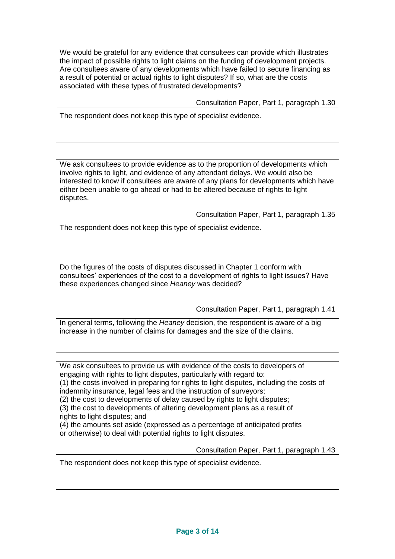We would be grateful for any evidence that consultees can provide which illustrates the impact of possible rights to light claims on the funding of development projects. Are consultees aware of any developments which have failed to secure financing as a result of potential or actual rights to light disputes? If so, what are the costs associated with these types of frustrated developments?

Consultation Paper, Part 1, paragraph 1.30

The respondent does not keep this type of specialist evidence.

We ask consultees to provide evidence as to the proportion of developments which involve rights to light, and evidence of any attendant delays. We would also be interested to know if consultees are aware of any plans for developments which have either been unable to go ahead or had to be altered because of rights to light disputes.

Consultation Paper, Part 1, paragraph 1.35

The respondent does not keep this type of specialist evidence.

Do the figures of the costs of disputes discussed in Chapter 1 conform with consultees' experiences of the cost to a development of rights to light issues? Have these experiences changed since *Heaney* was decided?

Consultation Paper, Part 1, paragraph 1.41

In general terms, following the *Heaney* decision, the respondent is aware of a big increase in the number of claims for damages and the size of the claims.

We ask consultees to provide us with evidence of the costs to developers of engaging with rights to light disputes, particularly with regard to:

(1) the costs involved in preparing for rights to light disputes, including the costs of indemnity insurance, legal fees and the instruction of surveyors;

(2) the cost to developments of delay caused by rights to light disputes;

(3) the cost to developments of altering development plans as a result of

rights to light disputes; and

(4) the amounts set aside (expressed as a percentage of anticipated profits or otherwise) to deal with potential rights to light disputes.

Consultation Paper, Part 1, paragraph 1.43

The respondent does not keep this type of specialist evidence.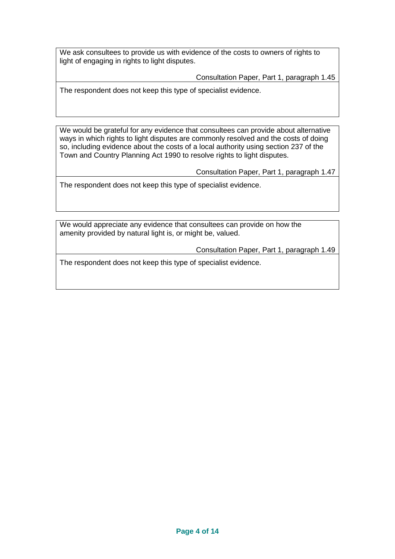We ask consultees to provide us with evidence of the costs to owners of rights to light of engaging in rights to light disputes.

Consultation Paper, Part 1, paragraph 1.45

The respondent does not keep this type of specialist evidence.

We would be grateful for any evidence that consultees can provide about alternative ways in which rights to light disputes are commonly resolved and the costs of doing so, including evidence about the costs of a local authority using section 237 of the Town and Country Planning Act 1990 to resolve rights to light disputes.

Consultation Paper, Part 1, paragraph 1.47

The respondent does not keep this type of specialist evidence.

We would appreciate any evidence that consultees can provide on how the amenity provided by natural light is, or might be, valued.

Consultation Paper, Part 1, paragraph 1.49

The respondent does not keep this type of specialist evidence.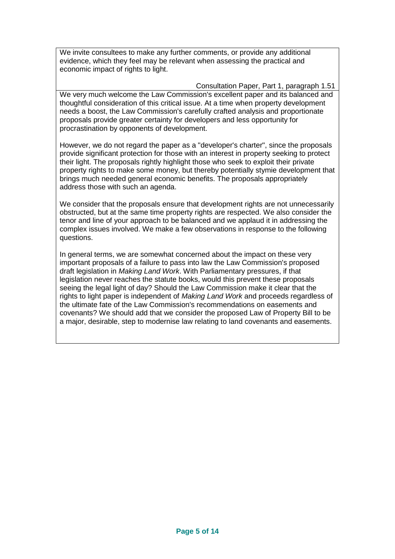We invite consultees to make any further comments, or provide any additional evidence, which they feel may be relevant when assessing the practical and economic impact of rights to light.

Consultation Paper, Part 1, paragraph 1.51 We very much welcome the Law Commission's excellent paper and its balanced and thoughtful consideration of this critical issue. At a time when property development needs a boost, the Law Commission's carefully crafted analysis and proportionate proposals provide greater certainty for developers and less opportunity for procrastination by opponents of development.

However, we do not regard the paper as a "developer's charter", since the proposals provide significant protection for those with an interest in property seeking to protect their light. The proposals rightly highlight those who seek to exploit their private property rights to make some money, but thereby potentially stymie development that brings much needed general economic benefits. The proposals appropriately address those with such an agenda.

We consider that the proposals ensure that development rights are not unnecessarily obstructed, but at the same time property rights are respected. We also consider the tenor and line of your approach to be balanced and we applaud it in addressing the complex issues involved. We make a few observations in response to the following questions.

In general terms, we are somewhat concerned about the impact on these very important proposals of a failure to pass into law the Law Commission's proposed draft legislation in *Making Land Work*. With Parliamentary pressures, if that legislation never reaches the statute books, would this prevent these proposals seeing the legal light of day? Should the Law Commission make it clear that the rights to light paper is independent of *Making Land Work* and proceeds regardless of the ultimate fate of the Law Commission's recommendations on easements and covenants? We should add that we consider the proposed Law of Property Bill to be a major, desirable, step to modernise law relating to land covenants and easements.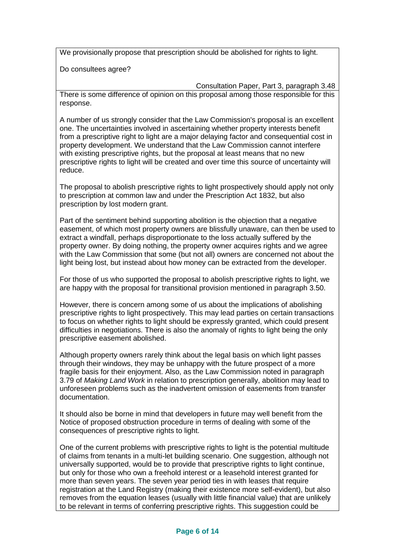We provisionally propose that prescription should be abolished for rights to light.

Do consultees agree?

Consultation Paper, Part 3, paragraph 3.48 There is some difference of opinion on this proposal among those responsible for this response.

A number of us strongly consider that the Law Commission's proposal is an excellent one. The uncertainties involved in ascertaining whether property interests benefit from a prescriptive right to light are a major delaying factor and consequential cost in property development. We understand that the Law Commission cannot interfere with existing prescriptive rights, but the proposal at least means that no new prescriptive rights to light will be created and over time this source of uncertainty will reduce.

The proposal to abolish prescriptive rights to light prospectively should apply not only to prescription at common law and under the Prescription Act 1832, but also prescription by lost modern grant.

Part of the sentiment behind supporting abolition is the objection that a negative easement, of which most property owners are blissfully unaware, can then be used to extract a windfall, perhaps disproportionate to the loss actually suffered by the property owner. By doing nothing, the property owner acquires rights and we agree with the Law Commission that some (but not all) owners are concerned not about the light being lost, but instead about how money can be extracted from the developer.

For those of us who supported the proposal to abolish prescriptive rights to light, we are happy with the proposal for transitional provision mentioned in paragraph 3.50.

However, there is concern among some of us about the implications of abolishing prescriptive rights to light prospectively. This may lead parties on certain transactions to focus on whether rights to light should be expressly granted, which could present difficulties in negotiations. There is also the anomaly of rights to light being the only prescriptive easement abolished.

Although property owners rarely think about the legal basis on which light passes through their windows, they may be unhappy with the future prospect of a more fragile basis for their enjoyment. Also, as the Law Commission noted in paragraph 3.79 of *Making Land Work* in relation to prescription generally, abolition may lead to unforeseen problems such as the inadvertent omission of easements from transfer documentation.

It should also be borne in mind that developers in future may well benefit from the Notice of proposed obstruction procedure in terms of dealing with some of the consequences of prescriptive rights to light.

One of the current problems with prescriptive rights to light is the potential multitude of claims from tenants in a multi-let building scenario. One suggestion, although not universally supported, would be to provide that prescriptive rights to light continue, but only for those who own a freehold interest or a leasehold interest granted for more than seven years. The seven year period ties in with leases that require registration at the Land Registry (making their existence more self-evident), but also removes from the equation leases (usually with little financial value) that are unlikely to be relevant in terms of conferring prescriptive rights. This suggestion could be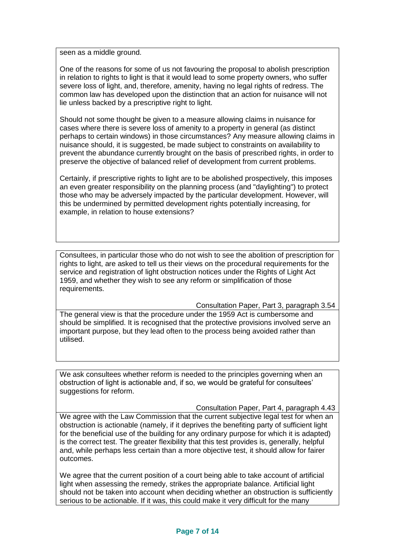seen as a middle ground.

One of the reasons for some of us not favouring the proposal to abolish prescription in relation to rights to light is that it would lead to some property owners, who suffer severe loss of light, and, therefore, amenity, having no legal rights of redress. The common law has developed upon the distinction that an action for nuisance will not lie unless backed by a prescriptive right to light.

Should not some thought be given to a measure allowing claims in nuisance for cases where there is severe loss of amenity to a property in general (as distinct perhaps to certain windows) in those circumstances? Any measure allowing claims in nuisance should, it is suggested, be made subject to constraints on availability to prevent the abundance currently brought on the basis of prescribed rights, in order to preserve the objective of balanced relief of development from current problems.

Certainly, if prescriptive rights to light are to be abolished prospectively, this imposes an even greater responsibility on the planning process (and "daylighting") to protect those who may be adversely impacted by the particular development. However, will this be undermined by permitted development rights potentially increasing, for example, in relation to house extensions?

Consultees, in particular those who do not wish to see the abolition of prescription for rights to light, are asked to tell us their views on the procedural requirements for the service and registration of light obstruction notices under the Rights of Light Act 1959, and whether they wish to see any reform or simplification of those requirements.

Consultation Paper, Part 3, paragraph 3.54

The general view is that the procedure under the 1959 Act is cumbersome and should be simplified. It is recognised that the protective provisions involved serve an important purpose, but they lead often to the process being avoided rather than utilised.

We ask consultees whether reform is needed to the principles governing when an obstruction of light is actionable and, if so, we would be grateful for consultees' suggestions for reform.

Consultation Paper, Part 4, paragraph 4.43

We agree with the Law Commission that the current subjective legal test for when an obstruction is actionable (namely, if it deprives the benefiting party of sufficient light for the beneficial use of the building for any ordinary purpose for which it is adapted) is the correct test. The greater flexibility that this test provides is, generally, helpful and, while perhaps less certain than a more objective test, it should allow for fairer outcomes.

We agree that the current position of a court being able to take account of artificial light when assessing the remedy, strikes the appropriate balance. Artificial light should not be taken into account when deciding whether an obstruction is sufficiently serious to be actionable. If it was, this could make it very difficult for the many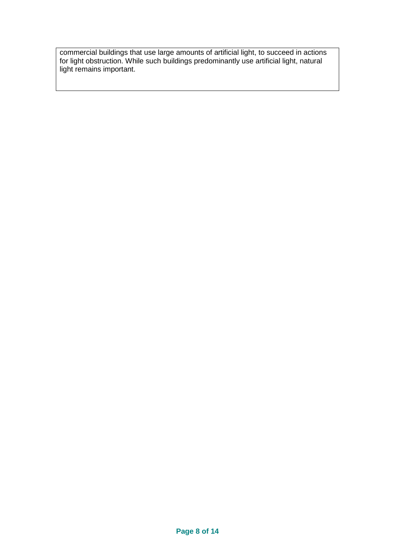commercial buildings that use large amounts of artificial light, to succeed in actions for light obstruction. While such buildings predominantly use artificial light, natural light remains important.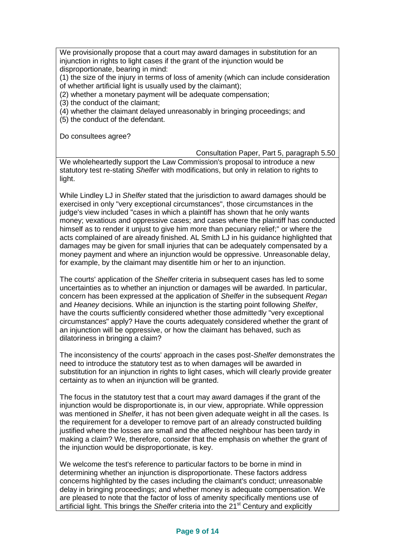We provisionally propose that a court may award damages in substitution for an injunction in rights to light cases if the grant of the injunction would be disproportionate, bearing in mind:

(1) the size of the injury in terms of loss of amenity (which can include consideration of whether artificial light is usually used by the claimant);

(2) whether a monetary payment will be adequate compensation;

(3) the conduct of the claimant;

(4) whether the claimant delayed unreasonably in bringing proceedings; and

(5) the conduct of the defendant.

Do consultees agree?

Consultation Paper, Part 5, paragraph 5.50

We wholeheartedly support the Law Commission's proposal to introduce a new statutory test re-stating *Shelfer* with modifications, but only in relation to rights to light.

While Lindley LJ in *Shelfer* stated that the jurisdiction to award damages should be exercised in only "very exceptional circumstances", those circumstances in the judge's view included "cases in which a plaintiff has shown that he only wants money; vexatious and oppressive cases; and cases where the plaintiff has conducted himself as to render it unjust to give him more than pecuniary relief;" or where the acts complained of are already finished. AL Smith LJ in his guidance highlighted that damages may be given for small injuries that can be adequately compensated by a money payment and where an injunction would be oppressive. Unreasonable delay, for example, by the claimant may disentitle him or her to an injunction.

The courts' application of the *Shelfer* criteria in subsequent cases has led to some uncertainties as to whether an injunction or damages will be awarded. In particular, concern has been expressed at the application of *Shelfer* in the subsequent *Regan*  and *Heaney* decisions. While an injunction is the starting point following *Shelfer*, have the courts sufficiently considered whether those admittedly "very exceptional circumstances" apply? Have the courts adequately considered whether the grant of an injunction will be oppressive, or how the claimant has behaved, such as dilatoriness in bringing a claim?

The inconsistency of the courts' approach in the cases post-*Shelfer* demonstrates the need to introduce the statutory test as to when damages will be awarded in substitution for an injunction in rights to light cases, which will clearly provide greater certainty as to when an injunction will be granted.

The focus in the statutory test that a court may award damages if the grant of the injunction would be disproportionate is, in our view, appropriate. While oppression was mentioned in *Shelfer*, it has not been given adequate weight in all the cases. Is the requirement for a developer to remove part of an already constructed building justified where the losses are small and the affected neighbour has been tardy in making a claim? We, therefore, consider that the emphasis on whether the grant of the injunction would be disproportionate, is key.

We welcome the test's reference to particular factors to be borne in mind in determining whether an injunction is disproportionate. These factors address concerns highlighted by the cases including the claimant's conduct; unreasonable delay in bringing proceedings; and whether money is adequate compensation. We are pleased to note that the factor of loss of amenity specifically mentions use of artificial light. This brings the *Shelfer* criteria into the 21st Century and explicitly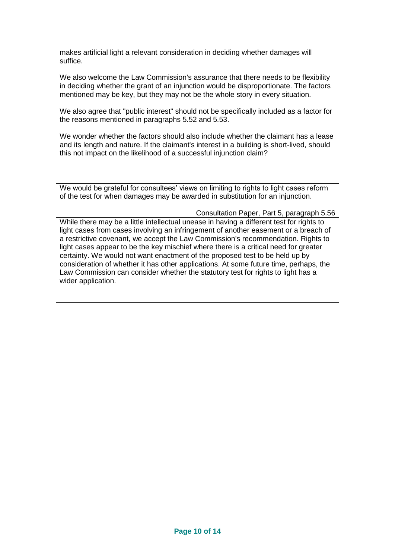makes artificial light a relevant consideration in deciding whether damages will suffice.

We also welcome the Law Commission's assurance that there needs to be flexibility in deciding whether the grant of an injunction would be disproportionate. The factors mentioned may be key, but they may not be the whole story in every situation.

We also agree that "public interest" should not be specifically included as a factor for the reasons mentioned in paragraphs 5.52 and 5.53.

We wonder whether the factors should also include whether the claimant has a lease and its length and nature. If the claimant's interest in a building is short-lived, should this not impact on the likelihood of a successful injunction claim?

We would be grateful for consultees' views on limiting to rights to light cases reform of the test for when damages may be awarded in substitution for an injunction.

Consultation Paper, Part 5, paragraph 5.56

While there may be a little intellectual unease in having a different test for rights to light cases from cases involving an infringement of another easement or a breach of a restrictive covenant, we accept the Law Commission's recommendation. Rights to light cases appear to be the key mischief where there is a critical need for greater certainty. We would not want enactment of the proposed test to be held up by consideration of whether it has other applications. At some future time, perhaps, the Law Commission can consider whether the statutory test for rights to light has a wider application.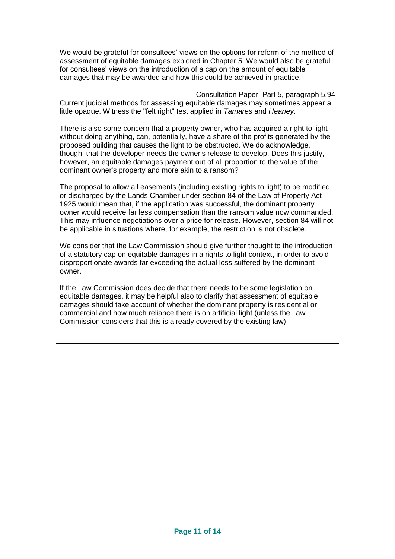We would be grateful for consultees' views on the options for reform of the method of assessment of equitable damages explored in Chapter 5. We would also be grateful for consultees' views on the introduction of a cap on the amount of equitable damages that may be awarded and how this could be achieved in practice.

Consultation Paper, Part 5, paragraph 5.94 Current judicial methods for assessing equitable damages may sometimes appear a little opaque. Witness the "felt right" test applied in *Tamares* and *Heaney*.

There is also some concern that a property owner, who has acquired a right to light without doing anything, can, potentially, have a share of the profits generated by the proposed building that causes the light to be obstructed. We do acknowledge, though, that the developer needs the owner's release to develop. Does this justify, however, an equitable damages payment out of all proportion to the value of the dominant owner's property and more akin to a ransom?

The proposal to allow all easements (including existing rights to light) to be modified or discharged by the Lands Chamber under section 84 of the Law of Property Act 1925 would mean that, if the application was successful, the dominant property owner would receive far less compensation than the ransom value now commanded. This may influence negotiations over a price for release. However, section 84 will not be applicable in situations where, for example, the restriction is not obsolete.

We consider that the Law Commission should give further thought to the introduction of a statutory cap on equitable damages in a rights to light context, in order to avoid disproportionate awards far exceeding the actual loss suffered by the dominant owner.

If the Law Commission does decide that there needs to be some legislation on equitable damages, it may be helpful also to clarify that assessment of equitable damages should take account of whether the dominant property is residential or commercial and how much reliance there is on artificial light (unless the Law Commission considers that this is already covered by the existing law).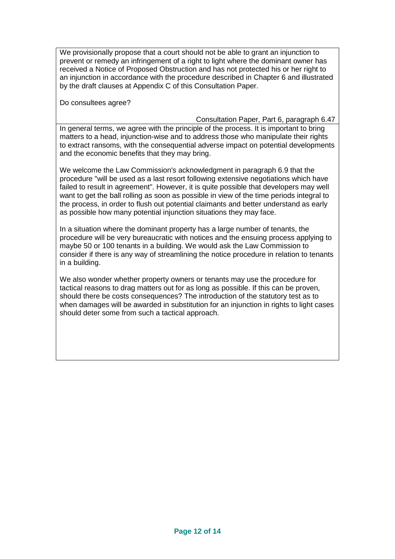We provisionally propose that a court should not be able to grant an injunction to prevent or remedy an infringement of a right to light where the dominant owner has received a Notice of Proposed Obstruction and has not protected his or her right to an injunction in accordance with the procedure described in Chapter 6 and illustrated by the draft clauses at Appendix C of this Consultation Paper.

Do consultees agree?

Consultation Paper, Part 6, paragraph 6.47

In general terms, we agree with the principle of the process. It is important to bring matters to a head, injunction-wise and to address those who manipulate their rights to extract ransoms, with the consequential adverse impact on potential developments and the economic benefits that they may bring.

We welcome the Law Commission's acknowledgment in paragraph 6.9 that the procedure "will be used as a last resort following extensive negotiations which have failed to result in agreement". However, it is quite possible that developers may well want to get the ball rolling as soon as possible in view of the time periods integral to the process, in order to flush out potential claimants and better understand as early as possible how many potential injunction situations they may face.

In a situation where the dominant property has a large number of tenants, the procedure will be very bureaucratic with notices and the ensuing process applying to maybe 50 or 100 tenants in a building. We would ask the Law Commission to consider if there is any way of streamlining the notice procedure in relation to tenants in a building.

We also wonder whether property owners or tenants may use the procedure for tactical reasons to drag matters out for as long as possible. If this can be proven, should there be costs consequences? The introduction of the statutory test as to when damages will be awarded in substitution for an injunction in rights to light cases should deter some from such a tactical approach.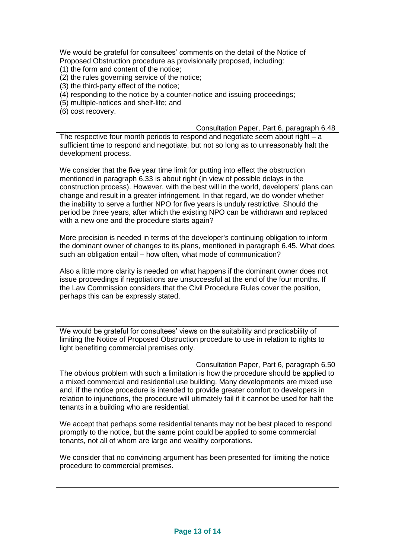We would be grateful for consultees' comments on the detail of the Notice of Proposed Obstruction procedure as provisionally proposed, including:

(1) the form and content of the notice;

(2) the rules governing service of the notice;

(3) the third-party effect of the notice;

(4) responding to the notice by a counter-notice and issuing proceedings;

(5) multiple-notices and shelf-life; and

(6) cost recovery.

Consultation Paper, Part 6, paragraph 6.48

The respective four month periods to respond and negotiate seem about right – a sufficient time to respond and negotiate, but not so long as to unreasonably halt the development process.

We consider that the five year time limit for putting into effect the obstruction mentioned in paragraph 6.33 is about right (in view of possible delays in the construction process). However, with the best will in the world, developers' plans can change and result in a greater infringement. In that regard, we do wonder whether the inability to serve a further NPO for five years is unduly restrictive. Should the period be three years, after which the existing NPO can be withdrawn and replaced with a new one and the procedure starts again?

More precision is needed in terms of the developer's continuing obligation to inform the dominant owner of changes to its plans, mentioned in paragraph 6.45. What does such an obligation entail – how often, what mode of communication?

Also a little more clarity is needed on what happens if the dominant owner does not issue proceedings if negotiations are unsuccessful at the end of the four months. If the Law Commission considers that the Civil Procedure Rules cover the position, perhaps this can be expressly stated.

We would be grateful for consultees' views on the suitability and practicability of limiting the Notice of Proposed Obstruction procedure to use in relation to rights to light benefiting commercial premises only.

Consultation Paper, Part 6, paragraph 6.50

The obvious problem with such a limitation is how the procedure should be applied to a mixed commercial and residential use building. Many developments are mixed use and, if the notice procedure is intended to provide greater comfort to developers in relation to injunctions, the procedure will ultimately fail if it cannot be used for half the tenants in a building who are residential.

We accept that perhaps some residential tenants may not be best placed to respond promptly to the notice, but the same point could be applied to some commercial tenants, not all of whom are large and wealthy corporations.

We consider that no convincing argument has been presented for limiting the notice procedure to commercial premises.